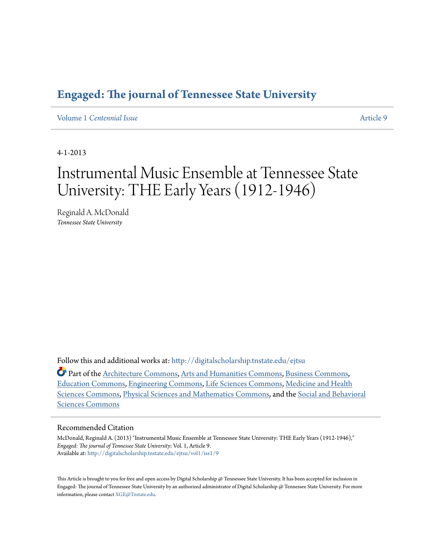## **[Engaged: The journal of Tennessee State University](http://digitalscholarship.tnstate.edu/ejtsu?utm_source=digitalscholarship.tnstate.edu%2Fejtsu%2Fvol1%2Fiss1%2F9&utm_medium=PDF&utm_campaign=PDFCoverPages)**

Volume 1 *[Centennial Issue](http://digitalscholarship.tnstate.edu/ejtsu/vol1?utm_source=digitalscholarship.tnstate.edu%2Fejtsu%2Fvol1%2Fiss1%2F9&utm_medium=PDF&utm_campaign=PDFCoverPages)* [Article 9](http://digitalscholarship.tnstate.edu/ejtsu/vol1/iss1/9?utm_source=digitalscholarship.tnstate.edu%2Fejtsu%2Fvol1%2Fiss1%2F9&utm_medium=PDF&utm_campaign=PDFCoverPages)

4-1-2013

# Instrumental Music Ensemble at Tennessee State University: THE Early Years (1912-1946)

Reginald A. McDonald *Tennessee State University*

Follow this and additional works at: [http://digitalscholarship.tnstate.edu/ejtsu](http://digitalscholarship.tnstate.edu/ejtsu?utm_source=digitalscholarship.tnstate.edu%2Fejtsu%2Fvol1%2Fiss1%2F9&utm_medium=PDF&utm_campaign=PDFCoverPages)

Part of the [Architecture Commons,](http://network.bepress.com/hgg/discipline/773?utm_source=digitalscholarship.tnstate.edu%2Fejtsu%2Fvol1%2Fiss1%2F9&utm_medium=PDF&utm_campaign=PDFCoverPages) [Arts and Humanities Commons,](http://network.bepress.com/hgg/discipline/438?utm_source=digitalscholarship.tnstate.edu%2Fejtsu%2Fvol1%2Fiss1%2F9&utm_medium=PDF&utm_campaign=PDFCoverPages) [Business Commons,](http://network.bepress.com/hgg/discipline/622?utm_source=digitalscholarship.tnstate.edu%2Fejtsu%2Fvol1%2Fiss1%2F9&utm_medium=PDF&utm_campaign=PDFCoverPages) [Education Commons](http://network.bepress.com/hgg/discipline/784?utm_source=digitalscholarship.tnstate.edu%2Fejtsu%2Fvol1%2Fiss1%2F9&utm_medium=PDF&utm_campaign=PDFCoverPages), [Engineering Commons,](http://network.bepress.com/hgg/discipline/217?utm_source=digitalscholarship.tnstate.edu%2Fejtsu%2Fvol1%2Fiss1%2F9&utm_medium=PDF&utm_campaign=PDFCoverPages) [Life Sciences Commons](http://network.bepress.com/hgg/discipline/1016?utm_source=digitalscholarship.tnstate.edu%2Fejtsu%2Fvol1%2Fiss1%2F9&utm_medium=PDF&utm_campaign=PDFCoverPages), [Medicine and Health](http://network.bepress.com/hgg/discipline/648?utm_source=digitalscholarship.tnstate.edu%2Fejtsu%2Fvol1%2Fiss1%2F9&utm_medium=PDF&utm_campaign=PDFCoverPages) [Sciences Commons,](http://network.bepress.com/hgg/discipline/648?utm_source=digitalscholarship.tnstate.edu%2Fejtsu%2Fvol1%2Fiss1%2F9&utm_medium=PDF&utm_campaign=PDFCoverPages) [Physical Sciences and Mathematics Commons,](http://network.bepress.com/hgg/discipline/114?utm_source=digitalscholarship.tnstate.edu%2Fejtsu%2Fvol1%2Fiss1%2F9&utm_medium=PDF&utm_campaign=PDFCoverPages) and the [Social and Behavioral](http://network.bepress.com/hgg/discipline/316?utm_source=digitalscholarship.tnstate.edu%2Fejtsu%2Fvol1%2Fiss1%2F9&utm_medium=PDF&utm_campaign=PDFCoverPages) [Sciences Commons](http://network.bepress.com/hgg/discipline/316?utm_source=digitalscholarship.tnstate.edu%2Fejtsu%2Fvol1%2Fiss1%2F9&utm_medium=PDF&utm_campaign=PDFCoverPages)

#### Recommended Citation

McDonald, Reginald A. (2013) "Instrumental Music Ensemble at Tennessee State University: THE Early Years (1912-1946)," *Engaged: The journal of Tennessee State University*: Vol. 1, Article 9. Available at: [http://digitalscholarship.tnstate.edu/ejtsu/vol1/iss1/9](http://digitalscholarship.tnstate.edu/ejtsu/vol1/iss1/9?utm_source=digitalscholarship.tnstate.edu%2Fejtsu%2Fvol1%2Fiss1%2F9&utm_medium=PDF&utm_campaign=PDFCoverPages)

This Article is brought to you for free and open access by Digital Scholarship @ Tennessee State University. It has been accepted for inclusion in Engaged: The journal of Tennessee State University by an authorized administrator of Digital Scholarship @ Tennessee State University. For more information, please contact [XGE@Tnstate.edu.](mailto:XGE@Tnstate.edu)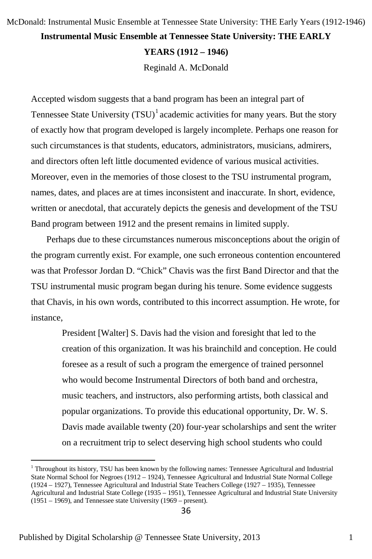### **Instrumental Music Ensemble at Tennessee State University: THE EARLY YEARS (1912 – 1946)** Reginald A. McDonald McDonald: Instrumental Music Ensemble at Tennessee State University: THE Early Years (1912-1946)

Accepted wisdom suggests that a band program has been an integral part of Tennessee State University  $(TSU)^{1}$  $(TSU)^{1}$  $(TSU)^{1}$  academic activities for many years. But the story of exactly how that program developed is largely incomplete. Perhaps one reason for such circumstances is that students, educators, administrators, musicians, admirers, and directors often left little documented evidence of various musical activities. Moreover, even in the memories of those closest to the TSU instrumental program, names, dates, and places are at times inconsistent and inaccurate. In short, evidence, written or anecdotal, that accurately depicts the genesis and development of the TSU Band program between 1912 and the present remains in limited supply.

Perhaps due to these circumstances numerous misconceptions about the origin of the program currently exist. For example, one such erroneous contention encountered was that Professor Jordan D. "Chick" Chavis was the first Band Director and that the TSU instrumental music program began during his tenure. Some evidence suggests that Chavis, in his own words, contributed to this incorrect assumption. He wrote, for instance,

> President [Walter] S. Davis had the vision and foresight that led to the creation of this organization. It was his brainchild and conception. He could foresee as a result of such a program the emergence of trained personnel who would become Instrumental Directors of both band and orchestra, music teachers, and instructors, also performing artists, both classical and popular organizations. To provide this educational opportunity, Dr. W. S. Davis made available twenty (20) four-year scholarships and sent the writer on a recruitment trip to select deserving high school students who could

<span id="page-1-0"></span><sup>&</sup>lt;sup>1</sup> Throughout its history, TSU has been known by the following names: Tennessee Agricultural and Industrial State Normal School for Negroes (1912 – 1924), Tennessee Agricultural and Industrial State Normal College (1924 – 1927), Tennessee Agricultural and Industrial State Teachers College (1927 – 1935), Tennessee Agricultural and Industrial State College (1935 – 1951), Tennessee Agricultural and Industrial State University (1951 – 1969), and Tennessee state University (1969 – present).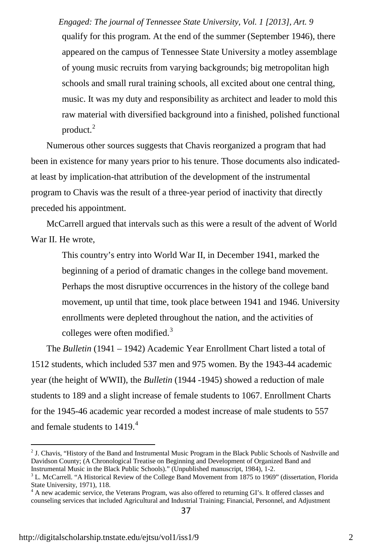qualify for this program. At the end of the summer (September 1946), there appeared on the campus of Tennessee State University a motley assemblage of young music recruits from varying backgrounds; big metropolitan high schools and small rural training schools, all excited about one central thing, music. It was my duty and responsibility as architect and leader to mold this raw material with diversified background into a finished, polished functional product.<sup>[2](#page-2-0)</sup> *Engaged: The journal of Tennessee State University, Vol. 1 [2013], Art. 9*

Numerous other sources suggests that Chavis reorganized a program that had been in existence for many years prior to his tenure. Those documents also indicatedat least by implication-that attribution of the development of the instrumental program to Chavis was the result of a three-year period of inactivity that directly preceded his appointment.

McCarrell argued that intervals such as this were a result of the advent of World War II. He wrote,

This country's entry into World War II, in December 1941, marked the beginning of a period of dramatic changes in the college band movement. Perhaps the most disruptive occurrences in the history of the college band movement, up until that time, took place between 1941 and 1946. University enrollments were depleted throughout the nation, and the activities of colleges were often modified.<sup>[3](#page-2-1)</sup>

The *Bulletin* (1941 – 1942) Academic Year Enrollment Chart listed a total of 1512 students, which included 537 men and 975 women. By the 1943-44 academic year (the height of WWII), the *Bulletin* (1944 -1945) showed a reduction of male students to 189 and a slight increase of female students to 1067. Enrollment Charts for the 1945-46 academic year recorded a modest increase of male students to 557 and female students to  $1419<sup>4</sup>$  $1419<sup>4</sup>$  $1419<sup>4</sup>$ 

<span id="page-2-0"></span><sup>&</sup>lt;sup>2</sup> J. Chavis, "History of the Band and Instrumental Music Program in the Black Public Schools of Nashville and Davidson County; (A Chronological Treatise on Beginning and Development of Organized Band and Instrumental Music in the Black Public Schools)." (Unpublished manuscript, 1984), 1-2.

<span id="page-2-1"></span><sup>&</sup>lt;sup>3</sup> L. McCarrell. "A Historical Review of the College Band Movement from 1875 to 1969" (dissertation, Florida State University, 1971), 118.

<span id="page-2-2"></span><sup>&</sup>lt;sup>4</sup> A new academic service, the Veterans Program, was also offered to returning GI's. It offered classes and counseling services that included Agricultural and Industrial Training; Financial, Personnel, and Adjustment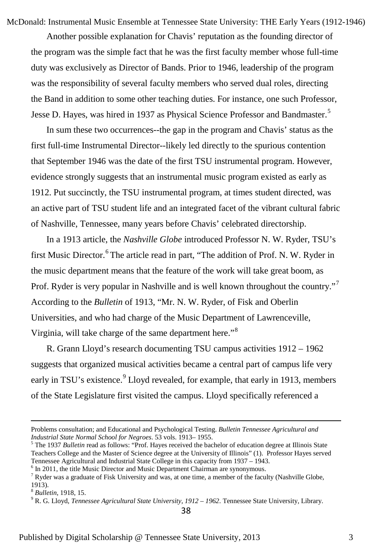McDonald: Instrumental Music Ensemble at Tennessee State University: THE Early Years (1912-1946)

Another possible explanation for Chavis' reputation as the founding director of the program was the simple fact that he was the first faculty member whose full-time duty was exclusively as Director of Bands. Prior to 1946, leadership of the program was the responsibility of several faculty members who served dual roles, directing the Band in addition to some other teaching duties. For instance, one such Professor, Jesse D. Hayes, was hired in 1937 as Physical Science Professor and Bandmaster.<sup>[5](#page-3-0)</sup>

In sum these two occurrences--the gap in the program and Chavis' status as the first full-time Instrumental Director--likely led directly to the spurious contention that September 1946 was the date of the first TSU instrumental program. However, evidence strongly suggests that an instrumental music program existed as early as 1912. Put succinctly, the TSU instrumental program, at times student directed, was an active part of TSU student life and an integrated facet of the vibrant cultural fabric of Nashville, Tennessee, many years before Chavis' celebrated directorship.

In a 1913 article, the *Nashville Globe* introduced Professor N. W. Ryder, TSU's first Music Director.<sup>[6](#page-3-1)</sup> The article read in part, "The addition of Prof. N. W. Ryder in the music department means that the feature of the work will take great boom, as Prof. Ryder is very popular in Nashville and is well known throughout the country."<sup>[7](#page-3-2)</sup> According to the *Bulletin* of 1913, "Mr. N. W. Ryder, of Fisk and Oberlin Universities, and who had charge of the Music Department of Lawrenceville, Virginia, will take charge of the same department here."<sup>[8](#page-3-3)</sup>

R. Grann Lloyd's research documenting TSU campus activities 1912 – 1962 suggests that organized musical activities became a central part of campus life very early in TSU's existence.<sup>[9](#page-3-4)</sup> Lloyd revealed, for example, that early in 1913, members of the State Legislature first visited the campus. Lloyd specifically referenced a

Problems consultation; and Educational and Psychological Testing. *Bulletin Tennessee Agricultural and Industrial State Normal School for Negroes*. 53 vols. 1913– 1955.

<span id="page-3-0"></span><sup>5</sup> The 1937 *Bulletin* read as follows: "Prof. Hayes received the bachelor of education degree at Illinois State Teachers College and the Master of Science degree at the University of Illinois" (1). Professor Hayes served Tennessee Agricultural and Industrial State College in this capacity from 1937 – 1943.

<span id="page-3-1"></span> $6$  In 2011, the title Music Director and Music Department Chairman are synonymous.

<span id="page-3-2"></span> $7$  Ryder was a graduate of Fisk University and was, at one time, a member of the faculty (Nashville Globe, 1913).

<span id="page-3-3"></span><sup>8</sup> *Bulletin*, 1918, 15.

<span id="page-3-4"></span><sup>9</sup> R. G. Lloyd, *Tennessee Agricultural State University, 1912 – 1962*. Tennessee State University, Library.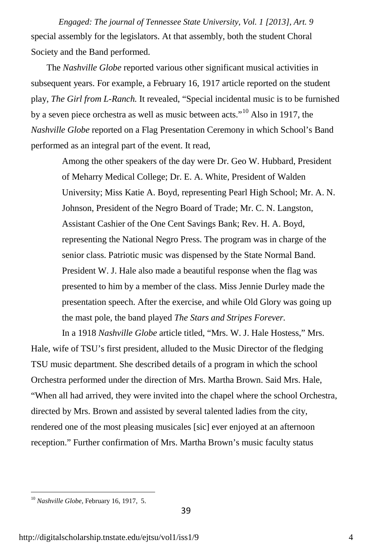special assembly for the legislators. At that assembly, both the student Choral Society and the Band performed. *Engaged: The journal of Tennessee State University, Vol. 1 [2013], Art. 9*

The *Nashville Globe* reported various other significant musical activities in subsequent years. For example, a February 16, 1917 article reported on the student play, *The Girl from L-Ranch.* It revealed, "Special incidental music is to be furnished by a seven piece orchestra as well as music between acts."<sup>[10](#page-4-0)</sup> Also in 1917, the *Nashville Globe* reported on a Flag Presentation Ceremony in which School's Band performed as an integral part of the event. It read,

> Among the other speakers of the day were Dr. Geo W. Hubbard, President of Meharry Medical College; Dr. E. A. White, President of Walden University; Miss Katie A. Boyd, representing Pearl High School; Mr. A. N. Johnson, President of the Negro Board of Trade; Mr. C. N. Langston, Assistant Cashier of the One Cent Savings Bank; Rev. H. A. Boyd, representing the National Negro Press. The program was in charge of the senior class. Patriotic music was dispensed by the State Normal Band. President W. J. Hale also made a beautiful response when the flag was presented to him by a member of the class. Miss Jennie Durley made the presentation speech. After the exercise, and while Old Glory was going up the mast pole, the band played *The Stars and Stripes Forever.*

In a 1918 *Nashville Globe* article titled, "Mrs. W. J. Hale Hostess," Mrs. Hale, wife of TSU's first president, alluded to the Music Director of the fledging TSU music department. She described details of a program in which the school Orchestra performed under the direction of Mrs. Martha Brown. Said Mrs. Hale, "When all had arrived, they were invited into the chapel where the school Orchestra, directed by Mrs. Brown and assisted by several talented ladies from the city, rendered one of the most pleasing musicales [sic] ever enjoyed at an afternoon reception." Further confirmation of Mrs. Martha Brown's music faculty status

<span id="page-4-0"></span><sup>10</sup> *Nashville Globe,* February 16, 1917, 5.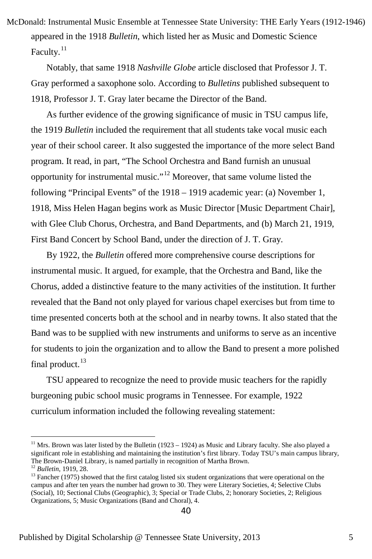appeared in the 1918 *Bulletin*, which listed her as Music and Domestic Science Faculty. $^{11}$  $^{11}$  $^{11}$ McDonald: Instrumental Music Ensemble at Tennessee State University: THE Early Years (1912-1946)

Notably, that same 1918 *Nashville Globe* article disclosed that Professor J. T. Gray performed a saxophone solo. According to *Bulletins* published subsequent to 1918, Professor J. T. Gray later became the Director of the Band.

As further evidence of the growing significance of music in TSU campus life, the 1919 *Bulletin* included the requirement that all students take vocal music each year of their school career. It also suggested the importance of the more select Band program. It read, in part, "The School Orchestra and Band furnish an unusual opportunity for instrumental music."<sup>[12](#page-5-1)</sup> Moreover, that same volume listed the following "Principal Events" of the 1918 – 1919 academic year: (a) November 1, 1918, Miss Helen Hagan begins work as Music Director [Music Department Chair], with Glee Club Chorus, Orchestra, and Band Departments, and (b) March 21, 1919, First Band Concert by School Band, under the direction of J. T. Gray.

By 1922, the *Bulletin* offered more comprehensive course descriptions for instrumental music. It argued, for example, that the Orchestra and Band, like the Chorus, added a distinctive feature to the many activities of the institution. It further revealed that the Band not only played for various chapel exercises but from time to time presented concerts both at the school and in nearby towns. It also stated that the Band was to be supplied with new instruments and uniforms to serve as an incentive for students to join the organization and to allow the Band to present a more polished final product. $13$ 

TSU appeared to recognize the need to provide music teachers for the rapidly burgeoning pubic school music programs in Tennessee. For example, 1922 curriculum information included the following revealing statement:

<span id="page-5-0"></span> $11$  Mrs. Brown was later listed by the Bulletin (1923 – 1924) as Music and Library faculty. She also played a significant role in establishing and maintaining the institution's first library. Today TSU's main campus library, The Brown-Daniel Library, is named partially in recognition of Martha Brown.

<span id="page-5-1"></span><sup>12</sup> *Bulletin,* 1919, 28.

<span id="page-5-2"></span><sup>&</sup>lt;sup>13</sup> Fancher (1975) showed that the first catalog listed six student organizations that were operational on the campus and after ten years the number had grown to 30. They were Literary Societies, 4; Selective Clubs (Social), 10; Sectional Clubs (Geographic), 3; Special or Trade Clubs, 2; honorary Societies, 2; Religious Organizations, 5; Music Organizations (Band and Choral), 4.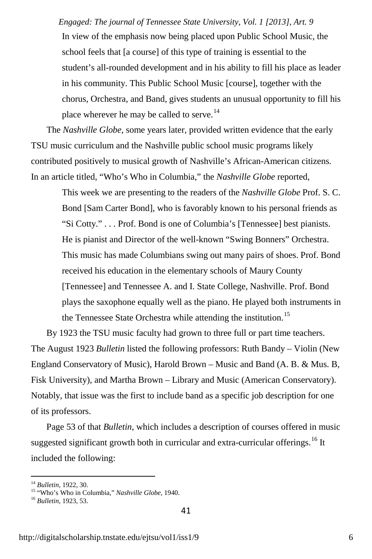In view of the emphasis now being placed upon Public School Music, the school feels that [a course] of this type of training is essential to the student's all-rounded development and in his ability to fill his place as leader in his community. This Public School Music [course], together with the chorus, Orchestra, and Band, gives students an unusual opportunity to fill his place wherever he may be called to serve.<sup>[14](#page-6-0)</sup> *Engaged: The journal of Tennessee State University, Vol. 1 [2013], Art. 9*

The *Nashville Globe*, some years later, provided written evidence that the early TSU music curriculum and the Nashville public school music programs likely contributed positively to musical growth of Nashville's African-American citizens. In an article titled, "Who's Who in Columbia," the *Nashville Globe* reported,

> This week we are presenting to the readers of the *Nashville Globe* Prof. S. C. Bond [Sam Carter Bond], who is favorably known to his personal friends as "Si Cotty." . . . Prof. Bond is one of Columbia's [Tennessee] best pianists. He is pianist and Director of the well-known "Swing Bonners" Orchestra. This music has made Columbians swing out many pairs of shoes. Prof. Bond received his education in the elementary schools of Maury County [Tennessee] and Tennessee A. and I. State College, Nashville. Prof. Bond plays the saxophone equally well as the piano. He played both instruments in the Tennessee State Orchestra while attending the institution.<sup>[15](#page-6-1)</sup>

By 1923 the TSU music faculty had grown to three full or part time teachers. The August 1923 *Bulletin* listed the following professors: Ruth Bandy – Violin (New England Conservatory of Music), Harold Brown – Music and Band (A. B. & Mus. B, Fisk University), and Martha Brown – Library and Music (American Conservatory). Notably, that issue was the first to include band as a specific job description for one of its professors.

Page 53 of that *Bulletin*, which includes a description of courses offered in music suggested significant growth both in curricular and extra-curricular offerings.<sup>[16](#page-6-2)</sup> It included the following:

<span id="page-6-0"></span><sup>14</sup> *Bulletin*, 1922, 30.

<span id="page-6-1"></span><sup>15</sup> "Who's Who in Columbia," *Nashville Globe,* 1940.

<span id="page-6-2"></span><sup>16</sup> *Bulletin*, 1923, 53.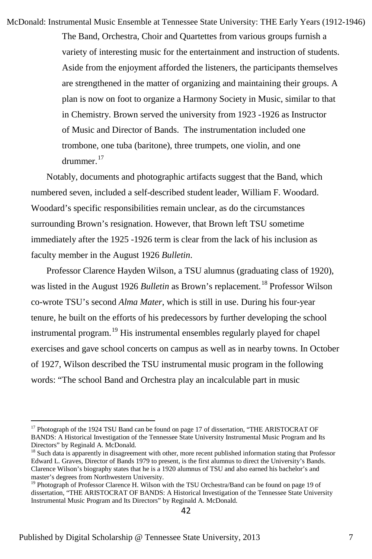The Band, Orchestra, Choir and Quartettes from various groups furnish a variety of interesting music for the entertainment and instruction of students. Aside from the enjoyment afforded the listeners, the participants themselves are strengthened in the matter of organizing and maintaining their groups. A plan is now on foot to organize a Harmony Society in Music, similar to that in Chemistry. Brown served the university from 1923 -1926 as Instructor of Music and Director of Bands. The instrumentation included one trombone, one tuba (baritone), three trumpets, one violin, and one drummer.<sup>[17](#page-7-0)</sup> McDonald: Instrumental Music Ensemble at Tennessee State University: THE Early Years (1912-1946)

Notably, documents and photographic artifacts suggest that the Band, which numbered seven, included a self-described student leader, William F. Woodard. Woodard's specific responsibilities remain unclear, as do the circumstances surrounding Brown's resignation. However, that Brown left TSU sometime immediately after the 1925 -1926 term is clear from the lack of his inclusion as faculty member in the August 1926 *Bulletin*.

Professor Clarence Hayden Wilson, a TSU alumnus (graduating class of 1920), was listed in the August 1926 *Bulletin* as Brown's replacement.<sup>[18](#page-7-1)</sup> Professor Wilson co-wrote TSU's second *Alma Mater*, which is still in use. During his four-year tenure, he built on the efforts of his predecessors by further developing the school instrumental program.<sup>[19](#page-7-2)</sup> His instrumental ensembles regularly played for chapel exercises and gave school concerts on campus as well as in nearby towns. In October of 1927, Wilson described the TSU instrumental music program in the following words: "The school Band and Orchestra play an incalculable part in music

<span id="page-7-0"></span><sup>&</sup>lt;sup>17</sup> Photograph of the 1924 TSU Band can be found on page 17 of dissertation, "THE ARISTOCRAT OF BANDS: A Historical Investigation of the Tennessee State University Instrumental Music Program and Its Directors" by Reginald A. McDonald.

<span id="page-7-1"></span><sup>&</sup>lt;sup>18</sup> Such data is apparently in disagreement with other, more recent published information stating that Professor Edward L. Graves, Director of Bands 1979 to present, is the first alumnus to direct the University's Bands. Clarence Wilson's biography states that he is a 1920 alumnus of TSU and also earned his bachelor's and master's degrees from Northwestern University.<br><sup>19</sup> Photograph of Professor Clarence H. Wilson with the TSU Orchestra/Band can be found on page 19 of

<span id="page-7-2"></span>dissertation, "THE ARISTOCRAT OF BANDS: A Historical Investigation of the Tennessee State University Instrumental Music Program and Its Directors" by Reginald A. McDonald.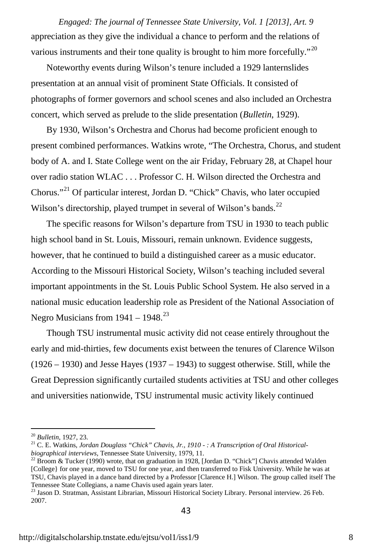appreciation as they give the individual a chance to perform and the relations of various instruments and their tone quality is brought to him more forcefully."<sup>[20](#page-8-0)</sup> *Engaged: The journal of Tennessee State University, Vol. 1 [2013], Art. 9*

Noteworthy events during Wilson's tenure included a 1929 lanternslides presentation at an annual visit of prominent State Officials. It consisted of photographs of former governors and school scenes and also included an Orchestra concert, which served as prelude to the slide presentation (*Bulletin*, 1929).

By 1930, Wilson's Orchestra and Chorus had become proficient enough to present combined performances. Watkins wrote, "The Orchestra, Chorus, and student body of A. and I. State College went on the air Friday, February 28, at Chapel hour over radio station WLAC . . . Professor C. H. Wilson directed the Orchestra and Chorus."[21](#page-8-1) Of particular interest, Jordan D. "Chick" Chavis, who later occupied Wilson's directorship, played trumpet in several of Wilson's bands.<sup>[22](#page-8-2)</sup>

The specific reasons for Wilson's departure from TSU in 1930 to teach public high school band in St. Louis, Missouri, remain unknown. Evidence suggests, however, that he continued to build a distinguished career as a music educator. According to the Missouri Historical Society, Wilson's teaching included several important appointments in the St. Louis Public School System. He also served in a national music education leadership role as President of the National Association of Negro Musicians from  $1941 - 1948$ <sup>[23](#page-8-3)</sup>

Though TSU instrumental music activity did not cease entirely throughout the early and mid-thirties, few documents exist between the tenures of Clarence Wilson (1926 – 1930) and Jesse Hayes (1937 – 1943) to suggest otherwise. Still, while the Great Depression significantly curtailed students activities at TSU and other colleges and universities nationwide, TSU instrumental music activity likely continued

<span id="page-8-0"></span><sup>20</sup> *Bulletin*, 1927, 23.

<span id="page-8-1"></span><sup>&</sup>lt;sup>21</sup> C. E. Watkins, *Jordan Douglass "Chick" Chavis, Jr., 1910 - : A Transcription of Oral Historical-<br>biographical interviews, Tennessee State University, 1979, 11.* 

<span id="page-8-2"></span><sup>&</sup>lt;sup>22</sup> Broom & Tucker (1990) wrote, that on graduation in 1928, [Jordan D. "Chick"] Chavis attended Walden [College} for one year, moved to TSU for one year, and then transferred to Fisk University. While he was at TSU, Chavis played in a dance band directed by a Professor [Clarence H.] Wilson. The group called itself The Tennessee State Collegians, a name Chavis used again years later.

<span id="page-8-3"></span><sup>23</sup> Jason D. Stratman, Assistant Librarian, Missouri Historical Society Library. Personal interview. 26 Feb. 2007.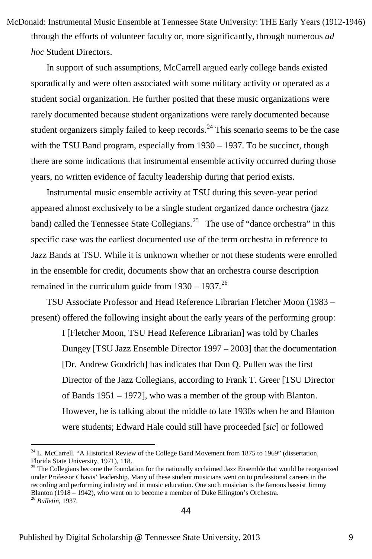through the efforts of volunteer faculty or, more significantly, through numerous *ad hoc* Student Directors. McDonald: Instrumental Music Ensemble at Tennessee State University: THE Early Years (1912-1946)

In support of such assumptions, McCarrell argued early college bands existed sporadically and were often associated with some military activity or operated as a student social organization. He further posited that these music organizations were rarely documented because student organizations were rarely documented because student organizers simply failed to keep records.<sup>[24](#page-9-0)</sup> This scenario seems to be the case with the TSU Band program, especially from 1930 - 1937. To be succinct, though there are some indications that instrumental ensemble activity occurred during those years, no written evidence of faculty leadership during that period exists.

Instrumental music ensemble activity at TSU during this seven-year period appeared almost exclusively to be a single student organized dance orchestra (jazz band) called the Tennessee State Collegians.<sup>25</sup> The use of "dance orchestra" in this specific case was the earliest documented use of the term orchestra in reference to Jazz Bands at TSU. While it is unknown whether or not these students were enrolled in the ensemble for credit, documents show that an orchestra course description remained in the curriculum guide from  $1930 - 1937$ .<sup>[26](#page-9-2)</sup>

TSU Associate Professor and Head Reference Librarian Fletcher Moon (1983 – present) offered the following insight about the early years of the performing group:

> I [Fletcher Moon, TSU Head Reference Librarian] was told by Charles Dungey [TSU Jazz Ensemble Director 1997 – 2003] that the documentation [Dr. Andrew Goodrich] has indicates that Don Q. Pullen was the first Director of the Jazz Collegians, according to Frank T. Greer [TSU Director of Bands 1951 – 1972], who was a member of the group with Blanton. However, he is talking about the middle to late 1930s when he and Blanton were students; Edward Hale could still have proceeded [*sic*] or followed

<span id="page-9-0"></span><sup>&</sup>lt;sup>24</sup> L. McCarrell. "A Historical Review of the College Band Movement from 1875 to 1969" (dissertation, Florida State University, 1971), 118.

<span id="page-9-2"></span><span id="page-9-1"></span><sup>&</sup>lt;sup>25</sup> The Collegians become the foundation for the nationally acclaimed Jazz Ensemble that would be reorganized under Professor Chavis' leadership. Many of these student musicians went on to professional careers in the recording and performing industry and in music education. One such musician is the famous bassist Jimmy Blanton (1918 – 1942), who went on to become a member of Duke Ellington's Orchestra. <sup>26</sup> *Bulletin*, 1937.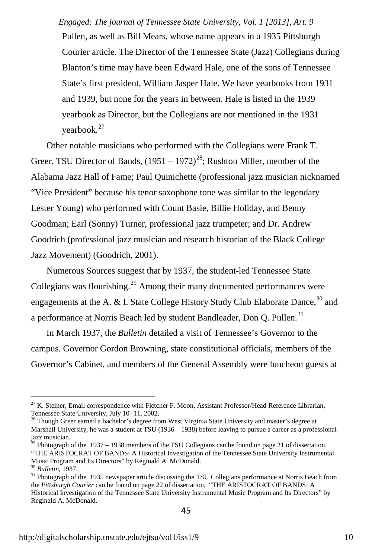Pullen, as well as Bill Mears, whose name appears in a 1935 Pittsburgh Courier article. The Director of the Tennessee State (Jazz) Collegians during Blanton's time may have been Edward Hale, one of the sons of Tennessee State's first president, William Jasper Hale. We have yearbooks from 1931 and 1939, but none for the years in between. Hale is listed in the 1939 yearbook as Director, but the Collegians are not mentioned in the 1931 yearbook.<sup>[27](#page-10-0)</sup> *Engaged: The journal of Tennessee State University, Vol. 1 [2013], Art. 9*

Other notable musicians who performed with the Collegians were Frank T. Greer, TSU Director of Bands,  $(1951 - 1972)^{28}$  $(1951 - 1972)^{28}$  $(1951 - 1972)^{28}$ ; Rushton Miller, member of the Alabama Jazz Hall of Fame; Paul Quinichette (professional jazz musician nicknamed "Vice President" because his tenor saxophone tone was similar to the legendary Lester Young) who performed with Count Basie, Billie Holiday, and Benny Goodman; Earl (Sonny) Turner, professional jazz trumpeter; and Dr. Andrew Goodrich (professional jazz musician and research historian of the Black College Jazz Movement) (Goodrich, 2001).

Numerous Sources suggest that by 1937, the student-led Tennessee State Collegians was flourishing.<sup>[29](#page-10-2)</sup> Among their many documented performances were engagements at the A. & I. State College History Study Club Elaborate Dance,<sup>[30](#page-10-3)</sup> and a performance at Norris Beach led by student Bandleader, Don O. Pullen.<sup>[31](#page-10-4)</sup>

In March 1937, the *Bulletin* detailed a visit of Tennessee's Governor to the campus. Governor Gordon Browning, state constitutional officials, members of the Governor's Cabinet, and members of the General Assembly were luncheon guests at

<span id="page-10-0"></span> $^{27}$  K. Steiner, Email correspondence with Fletcher F. Moon, Assistant Professor/Head Reference Librarian, Tennessee State University, July 10- 11, 2002.

<span id="page-10-1"></span><sup>&</sup>lt;sup>28</sup> Though Greer earned a bachelor's degree from West Virginia State University and master's degree at Marshall University, he was a student at TSU (1936 – 1938) before leaving to pursue a career as a professional jazz musician.

<span id="page-10-2"></span><sup>29</sup> Photograph of the 1937 – 1938 members of the TSU Collegians can be found on page 21 of dissertation, "THE ARISTOCRAT OF BANDS: A Historical Investigation of the Tennessee State University Instrumental Music Program and Its Directors" by Reginald A. McDonald.

<span id="page-10-3"></span><sup>30</sup> *Bulletin*, 1937.

<span id="page-10-4"></span><sup>&</sup>lt;sup>31</sup> Photograph of the 1935 newspaper article discussing the TSU Collegians performance at Norris Beach from the *Pittsburgh Courier* can be found on page 22 of dissertation, "THE ARISTOCRAT OF BANDS: A Historical Investigation of the Tennessee State University Instrumental Music Program and Its Directors" by Reginald A. McDonald.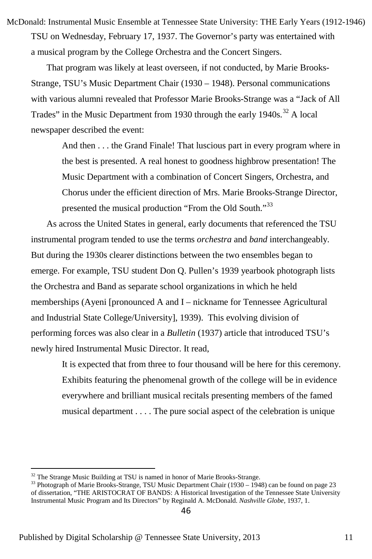TSU on Wednesday, February 17, 1937. The Governor's party was entertained with a musical program by the College Orchestra and the Concert Singers. McDonald: Instrumental Music Ensemble at Tennessee State University: THE Early Years (1912-1946)

That program was likely at least overseen, if not conducted, by Marie Brooks-Strange, TSU's Music Department Chair (1930 – 1948). Personal communications with various alumni revealed that Professor Marie Brooks-Strange was a "Jack of All Trades" in the Music Department from 1930 through the early  $1940s$ .<sup>[32](#page-11-0)</sup> A local newspaper described the event:

And then . . . the Grand Finale! That luscious part in every program where in the best is presented. A real honest to goodness highbrow presentation! The Music Department with a combination of Concert Singers, Orchestra, and Chorus under the efficient direction of Mrs. Marie Brooks-Strange Director, presented the musical production "From the Old South."<sup>[33](#page-11-1)</sup>

As across the United States in general, early documents that referenced the TSU instrumental program tended to use the terms *orchestra* and *band* interchangeably. But during the 1930s clearer distinctions between the two ensembles began to emerge. For example, TSU student Don Q. Pullen's 1939 yearbook photograph lists the Orchestra and Band as separate school organizations in which he held memberships (Ayeni [pronounced A and I – nickname for Tennessee Agricultural and Industrial State College/University], 1939). This evolving division of performing forces was also clear in a *Bulletin* (1937) article that introduced TSU's newly hired Instrumental Music Director. It read,

It is expected that from three to four thousand will be here for this ceremony. Exhibits featuring the phenomenal growth of the college will be in evidence everywhere and brilliant musical recitals presenting members of the famed musical department . . . . The pure social aspect of the celebration is unique

<span id="page-11-0"></span><sup>&</sup>lt;sup>32</sup> The Strange Music Building at TSU is named in honor of Marie Brooks-Strange.

<span id="page-11-1"></span> $33$  Photograph of Marie Brooks-Strange, TSU Music Department Chair (1930 – 1948) can be found on page 23 of dissertation, "THE ARISTOCRAT OF BANDS: A Historical Investigation of the Tennessee State University Instrumental Music Program and Its Directors" by Reginald A. McDonald. *Nashville Globe*, 1937, 1.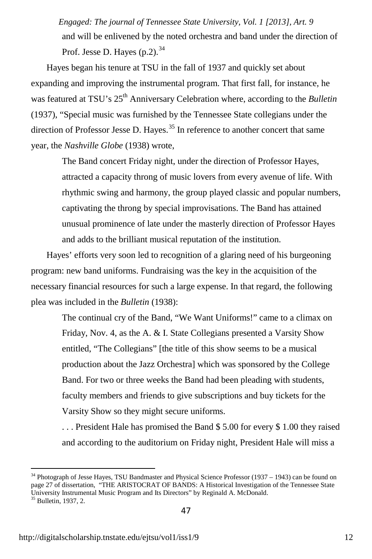and will be enlivened by the noted orchestra and band under the direction of Prof. Jesse D. Hayes  $(p, 2)$ .<sup>[34](#page-12-0)</sup> *Engaged: The journal of Tennessee State University, Vol. 1 [2013], Art. 9*

Hayes began his tenure at TSU in the fall of 1937 and quickly set about expanding and improving the instrumental program. That first fall, for instance, he was featured at TSU's 25<sup>th</sup> Anniversary Celebration where, according to the *Bulletin* (1937), "Special music was furnished by the Tennessee State collegians under the direction of Professor Jesse D. Hayes.<sup>[35](#page-12-1)</sup> In reference to another concert that same year, the *Nashville Globe* (1938) wrote,

The Band concert Friday night, under the direction of Professor Hayes, attracted a capacity throng of music lovers from every avenue of life. With rhythmic swing and harmony, the group played classic and popular numbers, captivating the throng by special improvisations. The Band has attained unusual prominence of late under the masterly direction of Professor Hayes and adds to the brilliant musical reputation of the institution.

Hayes' efforts very soon led to recognition of a glaring need of his burgeoning program: new band uniforms. Fundraising was the key in the acquisition of the necessary financial resources for such a large expense. In that regard, the following plea was included in the *Bulletin* (1938):

> The continual cry of the Band, "We Want Uniforms!" came to a climax on Friday, Nov. 4, as the A. & I. State Collegians presented a Varsity Show entitled, "The Collegians" [the title of this show seems to be a musical production about the Jazz Orchestra] which was sponsored by the College Band. For two or three weeks the Band had been pleading with students, faculty members and friends to give subscriptions and buy tickets for the Varsity Show so they might secure uniforms.

. . . President Hale has promised the Band \$ 5.00 for every \$ 1.00 they raised and according to the auditorium on Friday night, President Hale will miss a

<span id="page-12-0"></span><sup>&</sup>lt;sup>34</sup> Photograph of Jesse Hayes, TSU Bandmaster and Physical Science Professor (1937 – 1943) can be found on page 27 of dissertation, "THE ARISTOCRAT OF BANDS: A Historical Investigation of the Tennessee State University Instrumental Music Program and Its Directors" by Reginald A. McDonald. <sup>35</sup> Bulletin, 1937, 2.

<span id="page-12-1"></span>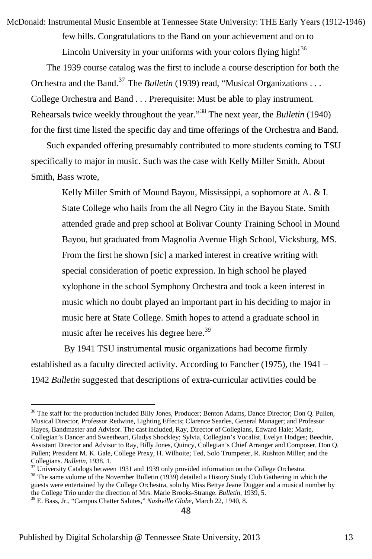few bills. Congratulations to the Band on your achievement and on to McDonald: Instrumental Music Ensemble at Tennessee State University: THE Early Years (1912-1946)

Lincoln University in your uniforms with your colors flying high!<sup>[36](#page-13-0)</sup>

The 1939 course catalog was the first to include a course description for both the Orchestra and the Band.<sup>[37](#page-13-1)</sup> The *Bulletin* (1939) read, "Musical Organizations . . . College Orchestra and Band . . . Prerequisite: Must be able to play instrument. Rehearsals twice weekly throughout the year."[38](#page-13-2) The next year, the *Bulletin* (1940) for the first time listed the specific day and time offerings of the Orchestra and Band.

Such expanded offering presumably contributed to more students coming to TSU specifically to major in music. Such was the case with Kelly Miller Smith. About Smith, Bass wrote,

Kelly Miller Smith of Mound Bayou, Mississippi, a sophomore at A. & I. State College who hails from the all Negro City in the Bayou State. Smith attended grade and prep school at Bolivar County Training School in Mound Bayou, but graduated from Magnolia Avenue High School, Vicksburg, MS. From the first he shown [*sic*] a marked interest in creative writing with special consideration of poetic expression. In high school he played xylophone in the school Symphony Orchestra and took a keen interest in music which no doubt played an important part in his deciding to major in music here at State College. Smith hopes to attend a graduate school in music after he receives his degree here.<sup>[39](#page-13-3)</sup>

By 1941 TSU instrumental music organizations had become firmly established as a faculty directed activity. According to Fancher (1975), the 1941 – 1942 *Bulletin* suggested that descriptions of extra-curricular activities could be

<span id="page-13-1"></span><sup>37</sup> University Catalogs between 1931 and 1939 only provided information on the College Orchestra.

<span id="page-13-2"></span><sup>38</sup> The same volume of the November Bulletin (1939) detailed a History Study Club Gathering in which the guests were entertained by the College Orchestra, solo by Miss Bettye Jeane Dugger and a musical number by the College Trio under the direction of Mrs. Marie Brooks-Strange. *Bulletin*, 1939, 5.

<span id="page-13-0"></span><sup>&</sup>lt;sup>36</sup> The staff for the production included Billy Jones, Producer; Benton Adams, Dance Director; Don Q. Pullen, Musical Director, Professor Redwine, Lighting Effects; Clarence Searles, General Manager; and Professor Hayes, Bandmaster and Advisor. The cast included, Ray, Director of Collegians, Edward Hale; Marie, Collegian's Dancer and Sweetheart, Gladys Shockley; Sylvia, Collegian's Vocalist, Evelyn Hodges; Beechie, Assistant Director and Advisor to Ray, Billy Jones, Quincy, Collegian's Chief Arranger and Composer, Don Q. Pullen; President M. K. Gale, College Prexy, H. Wilhoite; Ted, Solo Trumpeter, R. Rushton Miller; and the Collegians. Bulletin, 1938, 1.

<span id="page-13-3"></span><sup>39</sup> E. Bass, Jr., "Campus Chatter Salutes," *Nashville Globe*, March 22, 1940, 8.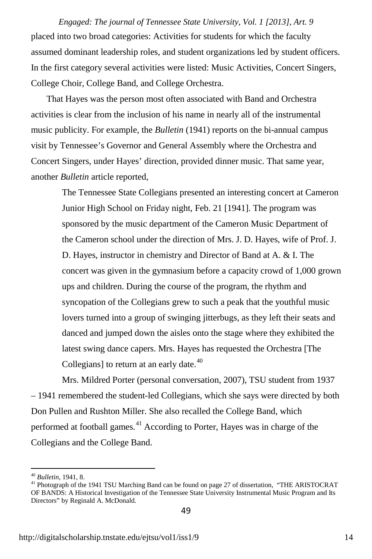placed into two broad categories: Activities for students for which the faculty assumed dominant leadership roles, and student organizations led by student officers. In the first category several activities were listed: Music Activities, Concert Singers, College Choir, College Band, and College Orchestra. *Engaged: The journal of Tennessee State University, Vol. 1 [2013], Art. 9*

That Hayes was the person most often associated with Band and Orchestra activities is clear from the inclusion of his name in nearly all of the instrumental music publicity. For example, the *Bulletin* (1941) reports on the bi-annual campus visit by Tennessee's Governor and General Assembly where the Orchestra and Concert Singers, under Hayes' direction, provided dinner music. That same year, another *Bulletin* article reported,

> The Tennessee State Collegians presented an interesting concert at Cameron Junior High School on Friday night, Feb. 21 [1941]. The program was sponsored by the music department of the Cameron Music Department of the Cameron school under the direction of Mrs. J. D. Hayes, wife of Prof. J. D. Hayes, instructor in chemistry and Director of Band at A. & I. The concert was given in the gymnasium before a capacity crowd of 1,000 grown ups and children. During the course of the program, the rhythm and syncopation of the Collegians grew to such a peak that the youthful music lovers turned into a group of swinging jitterbugs, as they left their seats and danced and jumped down the aisles onto the stage where they exhibited the latest swing dance capers. Mrs. Hayes has requested the Orchestra [The Collegians] to return at an early date.<sup>[40](#page-14-0)</sup>

Mrs. Mildred Porter (personal conversation, 2007), TSU student from 1937 – 1941 remembered the student-led Collegians, which she says were directed by both Don Pullen and Rushton Miller. She also recalled the College Band, which performed at football games. $^{41}$  $^{41}$  $^{41}$  According to Porter, Hayes was in charge of the Collegians and the College Band.

<span id="page-14-1"></span><span id="page-14-0"></span><sup>&</sup>lt;sup>40</sup> *Bulletin*, 1941, 8.<br><sup>41</sup> Photograph of the 1941 TSU Marching Band can be found on page 27 of dissertation, "THE ARISTOCRAT OF BANDS: A Historical Investigation of the Tennessee State University Instrumental Music Program and Its Directors" by Reginald A. McDonald.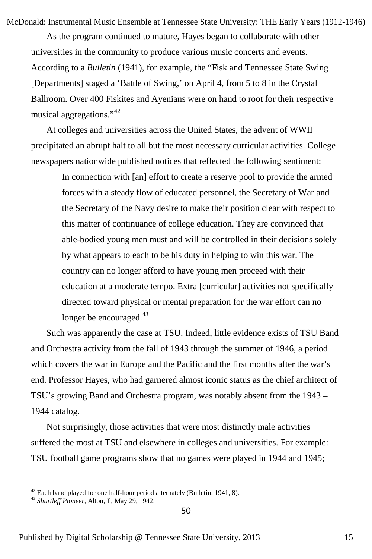McDonald: Instrumental Music Ensemble at Tennessee State University: THE Early Years (1912-1946)

As the program continued to mature, Hayes began to collaborate with other universities in the community to produce various music concerts and events. According to a *Bulletin* (1941), for example, the "Fisk and Tennessee State Swing [Departments] staged a 'Battle of Swing,' on April 4, from 5 to 8 in the Crystal Ballroom. Over 400 Fiskites and Ayenians were on hand to root for their respective musical aggregations."[42](#page-15-0)

At colleges and universities across the United States, the advent of WWII precipitated an abrupt halt to all but the most necessary curricular activities. College newspapers nationwide published notices that reflected the following sentiment:

In connection with [an] effort to create a reserve pool to provide the armed forces with a steady flow of educated personnel, the Secretary of War and the Secretary of the Navy desire to make their position clear with respect to this matter of continuance of college education. They are convinced that able-bodied young men must and will be controlled in their decisions solely by what appears to each to be his duty in helping to win this war. The country can no longer afford to have young men proceed with their education at a moderate tempo. Extra [curricular] activities not specifically directed toward physical or mental preparation for the war effort can no longer be encouraged.<sup>[43](#page-15-1)</sup>

Such was apparently the case at TSU. Indeed, little evidence exists of TSU Band and Orchestra activity from the fall of 1943 through the summer of 1946, a period which covers the war in Europe and the Pacific and the first months after the war's end. Professor Hayes, who had garnered almost iconic status as the chief architect of TSU's growing Band and Orchestra program, was notably absent from the 1943 – 1944 catalog.

Not surprisingly, those activities that were most distinctly male activities suffered the most at TSU and elsewhere in colleges and universities. For example: TSU football game programs show that no games were played in 1944 and 1945;

<span id="page-15-0"></span> $42$  Each band played for one half-hour period alternately (Bulletin, 1941, 8).

<span id="page-15-1"></span><sup>43</sup> *Shurtleff Pioneer*, Alton, Il, May 29, 1942.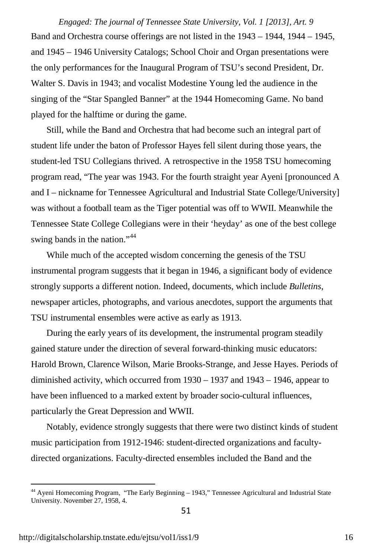Band and Orchestra course offerings are not listed in the 1943 – 1944, 1944 – 1945, and 1945 – 1946 University Catalogs; School Choir and Organ presentations were the only performances for the Inaugural Program of TSU's second President, Dr. Walter S. Davis in 1943; and vocalist Modestine Young led the audience in the singing of the "Star Spangled Banner" at the 1944 Homecoming Game. No band played for the halftime or during the game. *Engaged: The journal of Tennessee State University, Vol. 1 [2013], Art. 9*

Still, while the Band and Orchestra that had become such an integral part of student life under the baton of Professor Hayes fell silent during those years, the student-led TSU Collegians thrived. A retrospective in the 1958 TSU homecoming program read, "The year was 1943. For the fourth straight year Ayeni [pronounced A and I – nickname for Tennessee Agricultural and Industrial State College/University] was without a football team as the Tiger potential was off to WWII. Meanwhile the Tennessee State College Collegians were in their 'heyday' as one of the best college swing bands in the nation."<sup>[44](#page-16-0)</sup>

While much of the accepted wisdom concerning the genesis of the TSU instrumental program suggests that it began in 1946, a significant body of evidence strongly supports a different notion. Indeed, documents, which include *Bulletins*, newspaper articles, photographs, and various anecdotes, support the arguments that TSU instrumental ensembles were active as early as 1913.

During the early years of its development, the instrumental program steadily gained stature under the direction of several forward-thinking music educators: Harold Brown, Clarence Wilson, Marie Brooks-Strange, and Jesse Hayes. Periods of diminished activity, which occurred from 1930 – 1937 and 1943 – 1946, appear to have been influenced to a marked extent by broader socio-cultural influences, particularly the Great Depression and WWII.

Notably, evidence strongly suggests that there were two distinct kinds of student music participation from 1912-1946: student-directed organizations and facultydirected organizations. Faculty-directed ensembles included the Band and the

<span id="page-16-0"></span><sup>&</sup>lt;sup>44</sup> Ayeni Homecoming Program, "The Early Beginning – 1943," Tennessee Agricultural and Industrial State University. November 27, 1958, 4.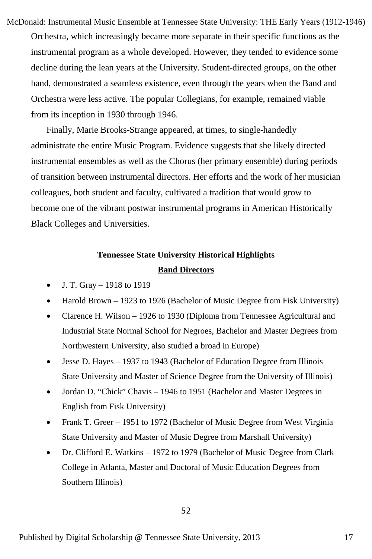Orchestra, which increasingly became more separate in their specific functions as the instrumental program as a whole developed. However, they tended to evidence some decline during the lean years at the University. Student-directed groups, on the other hand, demonstrated a seamless existence, even through the years when the Band and Orchestra were less active. The popular Collegians, for example, remained viable from its inception in 1930 through 1946. McDonald: Instrumental Music Ensemble at Tennessee State University: THE Early Years (1912-1946)

Finally, Marie Brooks-Strange appeared, at times, to single-handedly administrate the entire Music Program. Evidence suggests that she likely directed instrumental ensembles as well as the Chorus (her primary ensemble) during periods of transition between instrumental directors. Her efforts and the work of her musician colleagues, both student and faculty, cultivated a tradition that would grow to become one of the vibrant postwar instrumental programs in American Historically Black Colleges and Universities.

#### **Tennessee State University Historical Highlights Band Directors**

- J. T. Gray 1918 to 1919
- Harold Brown 1923 to 1926 (Bachelor of Music Degree from Fisk University)
- Clarence H. Wilson 1926 to 1930 (Diploma from Tennessee Agricultural and Industrial State Normal School for Negroes, Bachelor and Master Degrees from Northwestern University, also studied a broad in Europe)
- Jesse D. Hayes 1937 to 1943 (Bachelor of Education Degree from Illinois State University and Master of Science Degree from the University of Illinois)
- Jordan D. "Chick" Chavis 1946 to 1951 (Bachelor and Master Degrees in English from Fisk University)
- Frank T. Greer 1951 to 1972 (Bachelor of Music Degree from West Virginia State University and Master of Music Degree from Marshall University)
- Dr. Clifford E. Watkins 1972 to 1979 (Bachelor of Music Degree from Clark College in Atlanta, Master and Doctoral of Music Education Degrees from Southern Illinois)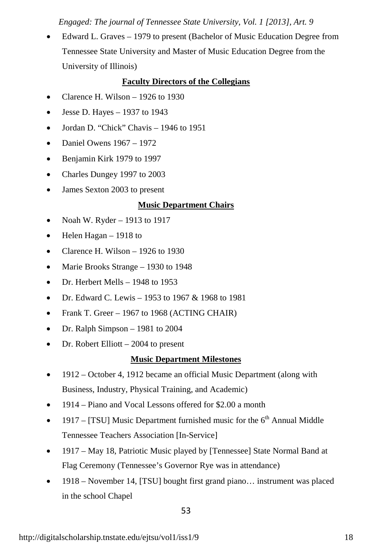*Engaged: The journal of Tennessee State University, Vol. 1 [2013], Art. 9*

• Edward L. Graves – 1979 to present (Bachelor of Music Education Degree from Tennessee State University and Master of Music Education Degree from the University of Illinois)

#### **Faculty Directors of the Collegians**

- Clarence H. Wilson 1926 to 1930
- Jesse D. Hayes  $-1937$  to 1943
- Jordan D. "Chick" Chavis 1946 to 1951
- Daniel Owens 1967 1972
- Benjamin Kirk 1979 to 1997
- Charles Dungey 1997 to 2003
- James Sexton 2003 to present

#### **Music Department Chairs**

- Noah W. Ryder 1913 to 1917
- Helen Hagan 1918 to
- Clarence H. Wilson 1926 to 1930
- Marie Brooks Strange 1930 to 1948
- Dr. Herbert Mells 1948 to 1953
- Dr. Edward C. Lewis 1953 to 1967 & 1968 to 1981
- Frank T. Greer 1967 to 1968 (ACTING CHAIR)
- Dr. Ralph Simpson 1981 to 2004
- Dr. Robert Elliott 2004 to present

#### **Music Department Milestones**

- 1912 October 4, 1912 became an official Music Department (along with Business, Industry, Physical Training, and Academic)
- 1914 Piano and Vocal Lessons offered for \$2.00 a month
- 1917 [TSU] Music Department furnished music for the  $6<sup>th</sup>$  Annual Middle Tennessee Teachers Association [In-Service]
- 1917 May 18, Patriotic Music played by [Tennessee] State Normal Band at Flag Ceremony (Tennessee's Governor Rye was in attendance)
- 1918 November 14, [TSU] bought first grand piano... instrument was placed in the school Chapel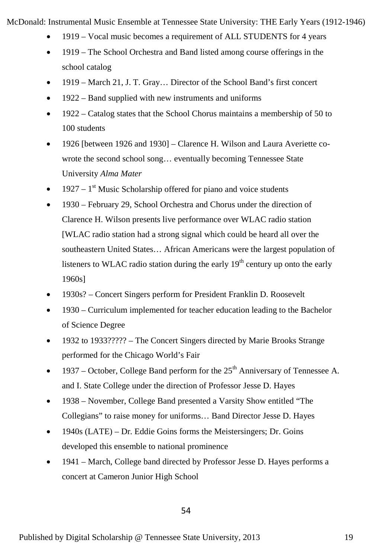McDonald: Instrumental Music Ensemble at Tennessee State University: THE Early Years (1912-1946)

- 1919 Vocal music becomes a requirement of ALL STUDENTS for 4 years
- 1919 The School Orchestra and Band listed among course offerings in the school catalog
- 1919 March 21, J. T. Gray… Director of the School Band's first concert
- 1922 Band supplied with new instruments and uniforms
- 1922 Catalog states that the School Chorus maintains a membership of 50 to 100 students
- 1926 [between 1926 and 1930] Clarence H. Wilson and Laura Averiette cowrote the second school song… eventually becoming Tennessee State University *Alma Mater*
- 1927  $1<sup>st</sup>$  Music Scholarship offered for piano and voice students
- 1930 February 29, School Orchestra and Chorus under the direction of Clarence H. Wilson presents live performance over WLAC radio station [WLAC radio station had a strong signal which could be heard all over the southeastern United States… African Americans were the largest population of listeners to WLAC radio station during the early  $19<sup>th</sup>$  century up onto the early 1960s]
- 1930s? Concert Singers perform for President Franklin D. Roosevelt
- 1930 Curriculum implemented for teacher education leading to the Bachelor of Science Degree
- 1932 to 1933????? The Concert Singers directed by Marie Brooks Strange performed for the Chicago World's Fair
- 1937 October, College Band perform for the  $25<sup>th</sup>$  Anniversary of Tennessee A. and I. State College under the direction of Professor Jesse D. Hayes
- 1938 November, College Band presented a Varsity Show entitled "The Collegians" to raise money for uniforms… Band Director Jesse D. Hayes
- $\bullet$  1940s (LATE) Dr. Eddie Goins forms the Meistersingers; Dr. Goins developed this ensemble to national prominence
- 1941 March, College band directed by Professor Jesse D. Hayes performs a concert at Cameron Junior High School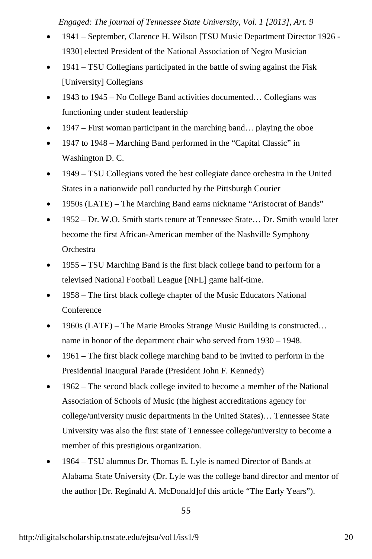*Engaged: The journal of Tennessee State University, Vol. 1 [2013], Art. 9*

- 1941 September, Clarence H. Wilson [TSU Music Department Director 1926 -1930] elected President of the National Association of Negro Musician
- 1941 TSU Collegians participated in the battle of swing against the Fisk [University] Collegians
- 1943 to 1945 No College Band activities documented… Collegians was functioning under student leadership
- 1947 First woman participant in the marching band… playing the oboe
- 1947 to 1948 Marching Band performed in the "Capital Classic" in Washington D. C.
- 1949 TSU Collegians voted the best collegiate dance orchestra in the United States in a nationwide poll conducted by the Pittsburgh Courier
- 1950s (LATE) The Marching Band earns nickname "Aristocrat of Bands"
- 1952 Dr. W.O. Smith starts tenure at Tennessee State… Dr. Smith would later become the first African-American member of the Nashville Symphony **Orchestra**
- 1955 TSU Marching Band is the first black college band to perform for a televised National Football League [NFL] game half-time.
- 1958 The first black college chapter of the Music Educators National Conference
- 1960s (LATE) The Marie Brooks Strange Music Building is constructed... name in honor of the department chair who served from 1930 – 1948.
- 1961 The first black college marching band to be invited to perform in the Presidential Inaugural Parade (President John F. Kennedy)
- 1962 The second black college invited to become a member of the National Association of Schools of Music (the highest accreditations agency for college/university music departments in the United States)… Tennessee State University was also the first state of Tennessee college/university to become a member of this prestigious organization.
- 1964 TSU alumnus Dr. Thomas E. Lyle is named Director of Bands at Alabama State University (Dr. Lyle was the college band director and mentor of the author [Dr. Reginald A. McDonald]of this article "The Early Years").